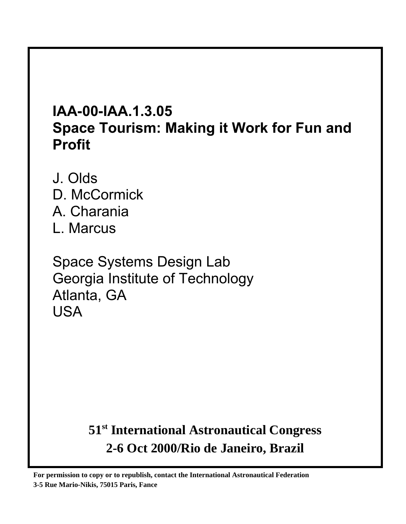# **IAA-00-IAA.1.3.05 Space Tourism: Making it Work for Fun and Profit**

J. Olds D. McCormick A. Charania L. Marcus

Space Systems Design Lab Georgia Institute of Technology Atlanta, GA USA

# **51st International Astronautical Congress 2-6 Oct 2000/Rio de Janeiro, Brazil**

**For permission to copy or to republish, contact the International Astronautical Federation 3-5 Rue Mario-Nikis, 75015 Paris, Fance**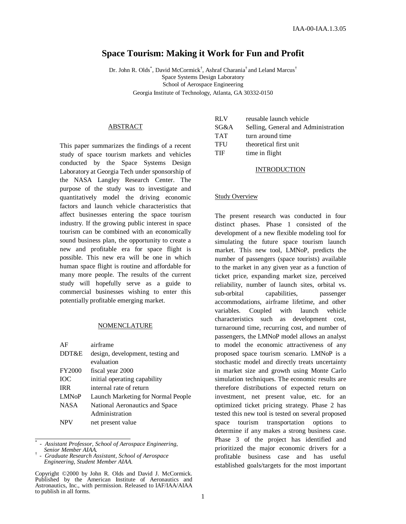# **Space Tourism: Making it Work for Fun and Profit**

Dr. John R. Olds<sup>\*</sup>, David McCormick<sup>†</sup>, Ashraf Charania<sup>†</sup> and Leland Marcus<sup>†</sup> Space Systems Design Laboratory School of Aerospace Engineering Georgia Institute of Technology, Atlanta, GA 30332-0150

## ABSTRACT

This paper summarizes the findings of a recent study of space tourism markets and vehicles conducted by the Space Systems Design Laboratory at Georgia Tech under sponsorship of the NASA Langley Research Center. The purpose of the study was to investigate and quantitatively model the driving economic factors and launch vehicle characteristics that affect businesses entering the space tourism industry. If the growing public interest in space tourism can be combined with an economically sound business plan, the opportunity to create a new and profitable era for space flight is possible. This new era will be one in which human space flight is routine and affordable for many more people. The results of the current study will hopefully serve as a guide to commercial businesses wishing to enter this potentially profitable emerging market.

#### NOMENCLATURE

| AF                      | airframe                           |
|-------------------------|------------------------------------|
| DDT&E                   | design, development, testing and   |
|                         | evaluation                         |
| <b>FY2000</b>           | fiscal year 2000                   |
| <b>TOC</b>              | initial operating capability       |
| IRR.                    | internal rate of return            |
| <b>LMN<sub>o</sub>P</b> | Launch Marketing for Normal People |
| <b>NASA</b>             | National Aeronautics and Space     |
|                         | Administration                     |
|                         | net present value                  |

<sup>\*</sup> *- Assistant Professor, School of Aerospace Engineering, Senior Member AIAA.* †

| <b>RLV</b> | reusable launch vehicle             |
|------------|-------------------------------------|
| SG&A       | Selling, General and Administration |
| <b>TAT</b> | turn around time                    |
| <b>TFU</b> | theoretical first unit              |
| <b>TIF</b> | time in flight                      |
|            |                                     |

#### INTRODUCTION

#### Study Overview

The present research was conducted in four distinct phases. Phase 1 consisted of the development of a new flexible modeling tool for simulating the future space tourism launch market. This new tool, LMNoP, predicts the number of passengers (space tourists) available to the market in any given year as a function of ticket price, expanding market size, perceived reliability, number of launch sites, orbital vs. sub-orbital capabilities, passenger accommodations, airframe lifetime, and other variables. Coupled with launch vehicle characteristics such as development cost, turnaround time, recurring cost, and number of passengers, the LMNoP model allows an analyst to model the economic attractiveness of any proposed space tourism scenario. LMNoP is a stochastic model and directly treats uncertainty in market size and growth using Monte Carlo simulation techniques. The economic results are therefore distributions of expected return on investment, net present value, etc. for an optimized ticket pricing strategy. Phase 2 has tested this new tool is tested on several proposed space tourism transportation options to determine if any makes a strong business case. Phase 3 of the project has identified and prioritized the major economic drivers for a profitable business case and has useful established goals/targets for the most important

*<sup>-</sup> Graduate Research Assistant, School of Aerospace Engineering, Student Member AIAA.*

Copyright ©2000 by John R. Olds and David J. McCormick. Published by the American Institute of Aeronautics and Astronautics, Inc., with permission. Released to IAF/IAA/AIAA to publish in all forms.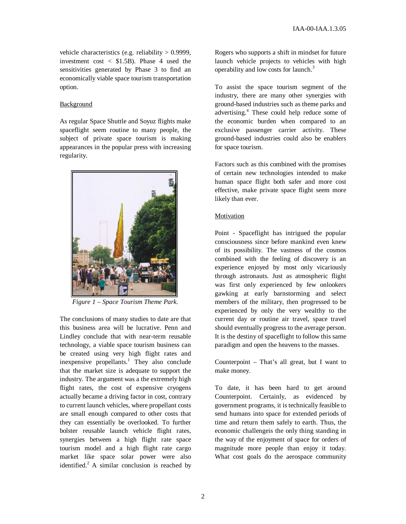vehicle characteristics (e.g. reliability  $> 0.9999$ , investment cost  $\langle$  \$1.5B). Phase 4 used the sensitivities generated by Phase 3 to find an economically viable space tourism transportation option.

# Background

As regular Space Shuttle and Soyuz flights make spaceflight seem routine to many people, the subject of private space tourism is making appearances in the popular press with increasing regularity.



*Figure 1 – Space Tourism Theme Park.*

The conclusions of many studies to date are that this business area will be lucrative. Penn and Lindley conclude that with near-term reusable technology, a viable space tourism business can be created using very high flight rates and inexpensive propellants.<sup>1</sup> They also conclude that the market size is adequate to support the industry. The argument was a the extremely high flight rates, the cost of expensive cryogens actually became a driving factor in cost, contrary to current launch vehicles, where propellant costs are small enough compared to other costs that they can essentially be overlooked. To further bolster reusable launch vehicle flight rates, synergies between a high flight rate space tourism model and a high flight rate cargo market like space solar power were also identified.<sup>2</sup> A similar conclusion is reached by

Rogers who supports a shift in mindset for future launch vehicle projects to vehicles with high operability and low costs for launch. 3

To assist the space tourism segment of the industry, there are many other synergies with ground-based industries such as theme parks and advertising. <sup>4</sup> These could help reduce some of the economic burden when compared to an exclusive passenger carrier activity. These ground-based industries could also be enablers for space tourism.

Factors such as this combined with the promises of certain new technologies intended to make human space flight both safer and more cost effective, make private space flight seem more likely than ever.

# **Motivation**

Point - Spaceflight has intrigued the popular consciousness since before mankind even knew of its possibility. The vastness of the cosmos combined with the feeling of discovery is an experience enjoyed by most only vicariously through astronauts. Just as atmospheric flight was first only experienced by few onlookers gawking at early barnstorming and select members of the military, then progressed to be experienced by only the very wealthy to the current day or routine air travel, space travel should eventually progress to the average person. It is the destiny of spaceflight to follow this same paradigm and open the heavens to the masses.

Counterpoint – That's all great, but I want to make money.

To date, it has been hard to get around Counterpoint. Certainly, as evidenced by government programs, it is technically feasible to send humans into space for extended periods of time and return them safely to earth. Thus, the economic challengeis the only thing standing in the way of the enjoyment of space for orders of magnitude more people than enjoy it today. What cost goals do the aerospace community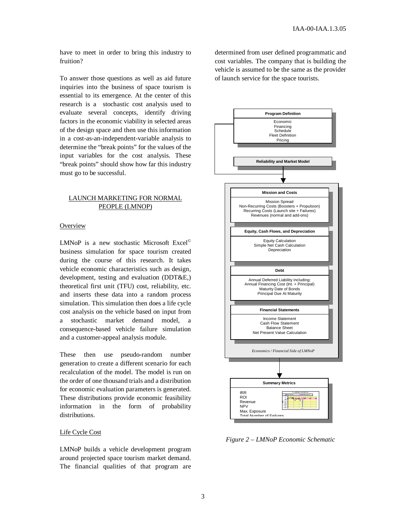have to meet in order to bring this industry to fruition?

To answer those questions as well as aid future inquiries into the business of space tourism is essential to its emergence. At the center of this research is a stochastic cost analysis used to evaluate several concepts, identify driving factors in the economic viability in selected areas of the design space and then use this information in a cost-as-an-independent-variable analysis to determine the "break points" for the values of the input variables for the cost analysis. These "break points" should show how far this industry must go to be successful.

# LAUNCH MARKETING FOR NORMAL PEOPLE (LMNOP)

# **Overview**

LMNoP is a new stochastic Microsoft Excel<sup>©</sup> business simulation for space tourism created during the course of this research. It takes vehicle economic characteristics such as design, development, testing and evaluation (DDT&E,) theoretical first unit (TFU) cost, reliability, etc. and inserts these data into a random process simulation. This simulation then does a life cycle cost analysis on the vehicle based on input from a stochastic market demand model, a consequence-based vehicle failure simulation and a customer-appeal analysis module.

These then use pseudo-random number generation to create a different scenario for each recalculation of the model. The model is run on the order of one thousand trials and a distribution for economic evaluation parameters is generated. These distributions provide economic feasibility information in the form of probability distributions.

#### Life Cycle Cost

LMNoP builds a vehicle development program around projected space tourism market demand. The financial qualities of that program are determined from user defined programmatic and cost variables. The company that is building the vehicle is assumed to be the same as the provider of launch service for the space tourists.



*Figure 2 – LMNoP Economic Schematic*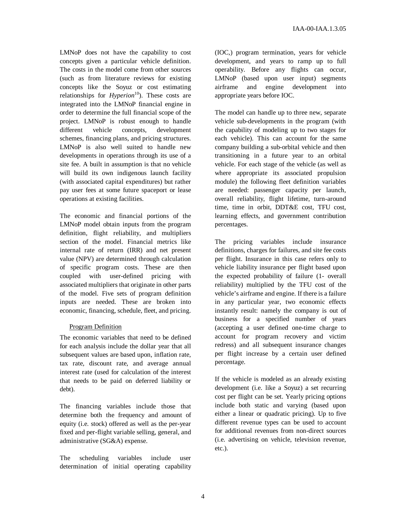LMNoP does not have the capability to cost concepts given a particular vehicle definition. The costs in the model come from other sources (such as from literature reviews for existing concepts like the Soyuz or cost estimating relationships for *Hyperion* 10 ). These costs are integrated into the LMNoP financial engine in order to determine the full financial scope of the project. LMNoP is robust enough to handle different vehicle concepts, development schemes, financing plans, and pricing structures. LMNoP is also well suited to handle new developments in operations through its use of a site fee. A built in assumption is that no vehicle will build its own indigenous launch facility (with associated capital expenditures) but rather pay user fees at some future spaceport or lease operations at existing facilities.

The economic and financial portions of the LMNoP model obtain inputs from the program definition, flight reliability, and multipliers section of the model. Financial metrics like internal rate of return (IRR) and net present value (NPV) are determined through calculation of specific program costs. These are then coupled with user-defined pricing with associated multipliers that originate in other parts of the model. Five sets of program definition inputs are needed. These are broken into economic, financing, schedule, fleet, and pricing.

# Program Definition

The economic variables that need to be defined for each analysis include the dollar year that all subsequent values are based upon, inflation rate, tax rate, discount rate, and average annual interest rate (used for calculation of the interest that needs to be paid on deferred liability or debt).

The financing variables include those that determine both the frequency and amount of equity (i.e. stock) offered as well as the per-year fixed and per-flight variable selling, general, and administrative (SG&A) expense.

The scheduling variables include user determination of initial operating capability (IOC,) program termination, years for vehicle development, and years to ramp up to full operability. Before any flights can occur, LMNoP (based upon user input) segments airframe and engine development into appropriate years before IOC.

The model can handle up to three new, separate vehicle sub-developments in the program (with the capability of modeling up to two stages for each vehicle). This can account for the same company building a sub-orbital vehicle and then transitioning in a future year to an orbital vehicle. For each stage of the vehicle (as well as where appropriate its associated propulsion module) the following fleet definition variables are needed: passenger capacity per launch, overall reliability, flight lifetime, turn-around time, time in orbit, DDT&E cost, TFU cost, learning effects, and government contribution percentages.

The pricing variables include insurance definitions, charges for failures, and site fee costs per flight. Insurance in this case refers only to vehicle liability insurance per flight based upon the expected probability of failure (1- overall reliability) multiplied by the TFU cost of the vehicle's airframe and engine. If there is a failure in any particular year, two economic effects instantly result: namely the company is out of business for a specified number of years (accepting a user defined one-time charge to account for program recovery and victim redress) and all subsequent insurance changes per flight increase by a certain user defined percentage.

If the vehicle is modeled as an already existing development (i.e. like a Soyuz) a set recurring cost per flight can be set. Yearly pricing options include both static and varying (based upon either a linear or quadratic pricing). Up to five different revenue types can be used to account for additional revenues from non-direct sources (i.e. advertising on vehicle, television revenue, etc.).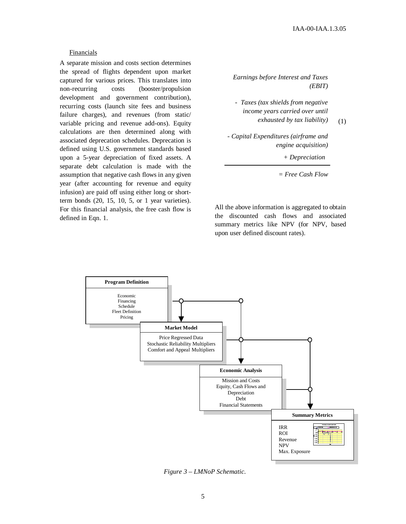(1)

## Financials

A separate mission and costs section determines the spread of flights dependent upon market captured for various prices. This translates into non-recurring costs (booster/propulsion development and government contribution), recurring costs (launch site fees and business failure charges), and revenues (from static/ variable pricing and revenue add-ons). Equity calculations are then determined along with associated deprecation schedules. Deprecation is defined using U.S. government standards based upon a 5-year depreciation of fixed assets. A separate debt calculation is made with the assumption that negative cash flows in any given year (after accounting for revenue and equity infusion) are paid off using either long or shortterm bonds  $(20, 15, 10, 5, or 1$  year varieties). For this financial analysis, the free cash flow is defined in Eqn. 1.

*Earnings before Interest and Taxes (EBIT)*

*- Taxes (tax shields from negative income years carried over until exhausted by tax liability)*

*- Capital Expenditures (airframe and engine acquisition)*

*+ Depreciation*

*= Free Cash Flow*

All the above information is aggregated to obtain the discounted cash flows and associated summary metrics like NPV (for NPV, based upon user defined discount rates).



*Figure 3 – LMNoP Schematic.*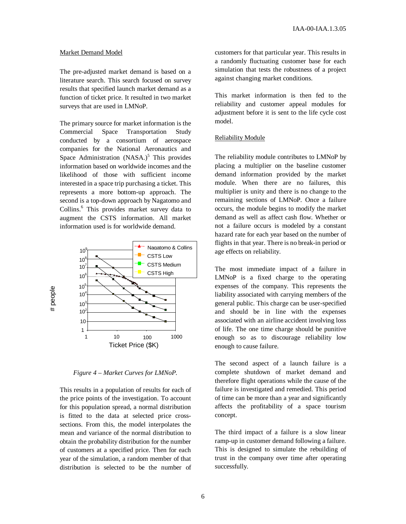#### Market Demand Model

The pre-adjusted market demand is based on a literature search. This search focused on survey results that specified launch market demand as a function of ticket price. It resulted in two market surveys that are used in LMNoP.

The primary source for market information is the Commercial Space Transportation Study conducted by a consortium of aerospace companies for the National Aeronautics and Space Administration (NASA.)<sup>5</sup> This provides information based on worldwide incomes and the likelihood of those with sufficient income interested in a space trip purchasing a ticket. This represents a more bottom-up approach. The second is a top-down approach by Nagatomo and Collins. <sup>6</sup> This provides market survey data to augment the CSTS information. All market information used is for worldwide demand.



*Figure 4 – Market Curves for LMNoP.*

This results in a population of results for each of the price points of the investigation. To account for this population spread, a normal distribution is fitted to the data at selected price crosssections. From this, the model interpolates the mean and variance of the normal distribution to obtain the probability distribution for the number of customers at a specified price. Then for each year of the simulation, a random member of that distribution is selected to be the number of

customers for that particular year. This results in a randomly fluctuating customer base for each simulation that tests the robustness of a project against changing market conditions.

This market information is then fed to the reliability and customer appeal modules for adjustment before it is sent to the life cycle cost model.

# Reliability Module

The reliability module contributes to LMNoP by placing a multiplier on the baseline customer demand information provided by the market module. When there are no failures, this multiplier is unity and there is no change to the remaining sections of LMNoP. Once a failure occurs, the module begins to modify the market demand as well as affect cash flow. Whether or not a failure occurs is modeled by a constant hazard rate for each year based on the number of flights in that year. There is no break-in period or age effects on reliability.

The most immediate impact of a failure in LMNoP is a fixed charge to the operating expenses of the company. This represents the liability associated with carrying members of the general public. This charge can be user-specified and should be in line with the expenses associated with an airline accident involving loss of life. The one time charge should be punitive enough so as to discourage reliability low enough to cause failure.

The second aspect of a launch failure is a complete shutdown of market demand and therefore flight operations while the cause of the failure is investigated and remedied. This period of time can be more than a year and significantly affects the profitability of a space tourism concept.

The third impact of a failure is a slow linear ramp-up in customer demand following a failure. This is designed to simulate the rebuilding of trust in the company over time after operating successfully.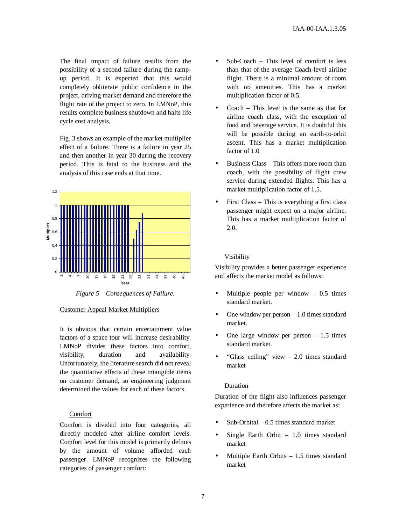The final impact of failure results from the possibility of a second failure during the rampup period. It is expected that this would completely obliterate public confidence in the project, driving market demand and therefore the flight rate of the project to zero. In LMNoP, this results complete business shutdown and halts life cycle cost analysis.

Fig. 3 shows an example of the market multiplier effect of a failure. There is a failure in year 25 and then another in year 30 during the recovery period. This is fatal to the business and the analysis of this case ends at that time.



*Figure 5 – Consequences of Failure.*

# Customer Appeal Market Multipliers

It is obvious that certain entertainment value factors of a space tour will increase desirability. LMNoP divides these factors into comfort, visibility, duration and availability. Unfortunately, the literature search did not reveal the quantitative effects of these intangible items on customer demand, so engineering judgment determined the values for each of these factors.

# Comfort

Comfort is divided into four categories, all directly modeled after airline comfort levels. Comfort level for this model is primarily defines by the amount of volume afforded each passenger. LMNoP recognizes the following categories of passenger comfort:

- Sub-Coach This level of comfort is less than that of the average Coach-level airline flight. There is a minimal amount of room with no amenities. This has a market multiplication factor of 0.5.
- Coach This level is the same as that for airline coach class, with the exception of food and beverage service. It is doubtful this will be possible during an earth-to-orbit ascent. This has a market multiplication factor of 1.0
- Business Class This offers more room than coach, with the possibility of flight crew service during extended flights. This has a market multiplication factor of 1.5.
- First Class This is everything a first class passenger might expect on a major airline. This has a market multiplication factor of 2.0.

# Visibility

Visibility provides a better passenger experience and affects the market model as follows:

- Multiple people per window  $-0.5$  times standard market.
- One window per person  $-1.0$  times standard market.
- One large window per person  $-1.5$  times standard market.
- "Glass ceiling" view 2.0 times standard market

# Duration

Duration of the flight also influences passenger experience and therefore affects the market as:

- Sub-Orbital  $-0.5$  times standard market
- Single Earth Orbit  $-1.0$  times standard market
- Multiple Earth Orbits  $-1.5$  times standard market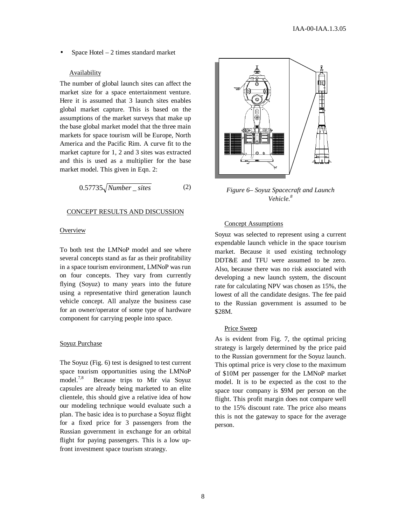Space Hotel  $-2$  times standard market

## **Availability**

The number of global launch sites can affect the market size for a space entertainment venture. Here it is assumed that 3 launch sites enables global market capture. This is based on the assumptions of the market surveys that make up the base global market model that the three main markets for space tourism will be Europe, North America and the Pacific Rim. A curve fit to the market capture for 1, 2 and 3 sites was extracted and this is used as a multiplier for the base market model. This given in Eqn. 2:

$$
0.57735\sqrt{Number\_sites} \tag{2}
$$

# CONCEPT RESULTS AND DISCUSSION

## **Overview**

To both test the LMNoP model and see where several concepts stand as far as their profitability in a space tourism environment, LMNoP was run on four concepts. They vary from currently flying (Soyuz) to many years into the future using a representative third generation launch vehicle concept. All analyze the business case for an owner/operator of some type of hardware component for carrying people into space.

## Soyuz Purchase

The Soyuz (Fig. 6) test is designed to test current space tourism opportunities using the LMNoP model. $7,8$ Because trips to Mir via Soyuz capsules are already being marketed to an elite clientele, this should give a relative idea of how our modeling technique would evaluate such a plan. The basic idea is to purchase a Soyuz flight for a fixed price for 3 passengers from the Russian government in exchange for an orbital flight for paying passengers. This is a low upfront investment space tourism strategy.



*Figure 6– Soyuz Spacecraft and Launch Vehicle. 8*

# Concept Assumptions

Soyuz was selected to represent using a current expendable launch vehicle in the space tourism market. Because it used existing technology DDT&E and TFU were assumed to be zero. Also, because there was no risk associated with developing a new launch system, the discount rate for calculating NPV was chosen as 15%, the lowest of all the candidate designs. The fee paid to the Russian government is assumed to be \$28M.

## Price Sweep

As is evident from Fig. 7, the optimal pricing strategy is largely determined by the price paid to the Russian government for the Soyuz launch. This optimal price is very close to the maximum of \$10M per passenger for the LMNoP market model. It is to be expected as the cost to the space tour company is \$9M per person on the flight. This profit margin does not compare well to the 15% discount rate. The price also means this is not the gateway to space for the average person.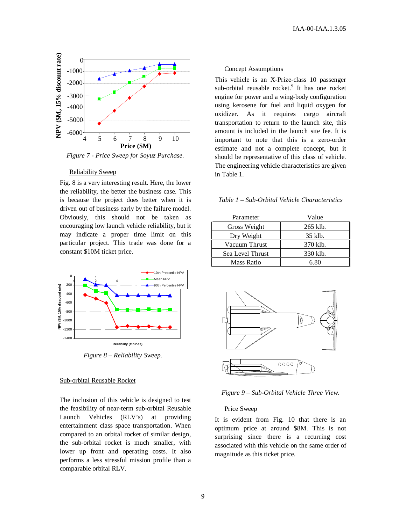

*Figure 7 - Price Sweep for Soyuz Purchase.*

## Reliability Sweep

Fig. 8 is a very interesting result. Here, the lower the reliability, the better the business case. This is because the project does better when it is driven out of business early by the failure model. Obviously, this should not be taken as encouraging low launch vehicle reliability, but it may indicate a proper time limit on this particular project. This trade was done for a constant \$10M ticket price.



*Figure 8 – Reliability Sweep.*

#### Sub-orbital Reusable Rocket

The inclusion of this vehicle is designed to test the feasibility of near-term sub-orbital Reusable Launch Vehicles (RLV's) at providing entertainment class space transportation. When compared to an orbital rocket of similar design, the sub-orbital rocket is much smaller, with lower up front and operating costs. It also performs a less stressful mission profile than a comparable orbital RLV.

# Concept Assumptions

This vehicle is an X-Prize-class 10 passenger sub-orbital reusable rocket. 9 It has one rocket engine for power and a wing-body configuration using kerosene for fuel and liquid oxygen for oxidizer. As it requires cargo aircraft transportation to return to the launch site, this amount is included in the launch site fee. It is important to note that this is a zero-order estimate and not a complete concept, but it should be representative of this class of vehicle. The engineering vehicle characteristics are given in Table 1.

# *Table 1 – Sub-Orbital Vehicle Characteristics*

| Parameter        | Value    |
|------------------|----------|
| Gross Weight     | 265 klb. |
| Dry Weight       | 35 klb.  |
| Vacuum Thrust    | 370 klb. |
| Sea Level Thrust | 330 klb. |
| Mass Ratio       | 6.80     |



*Figure 9 – Sub-Orbital Vehicle Three View.*

## Price Sweep

It is evident from Fig. 10 that there is an optimum price at around \$8M. This is not surprising since there is a recurring cost associated with this vehicle on the same order of magnitude as this ticket price.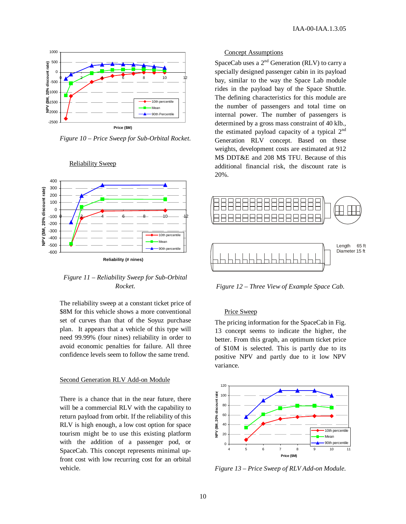

*Figure 10 – Price Sweep for Sub-Orbital Rocket.*



Reliability Sweep

# *Figure 11 – Reliability Sweep for Sub-Orbital Rocket.*

The reliability sweep at a constant ticket price of \$8M for this vehicle shows a more conventional set of curves than that of the Soyuz purchase plan. It appears that a vehicle of this type will need 99.99% (four nines) reliability in order to avoid economic penalties for failure. All three confidence levels seem to follow the same trend.

## Second Generation RLV Add-on Module

There is a chance that in the near future, there will be a commercial RLV with the capability to return payload from orbit. If the reliability of this RLV is high enough, a low cost option for space tourism might be to use this existing platform with the addition of a passenger pod, or SpaceCab. This concept represents minimal upfront cost with low recurring cost for an orbital vehicle.

#### Concept Assumptions

SpaceCab uses a  $2<sup>nd</sup>$  Generation (RLV) to carry a specially designed passenger cabin in its payload bay, similar to the way the Space Lab module rides in the payload bay of the Space Shuttle. The defining characteristics for this module are the number of passengers and total time on internal power. The number of passengers is determined by a gross mass constraint of 40 klb., the estimated payload capacity of a typical  $2<sup>nd</sup>$ Generation RLV concept. Based on these weights, development costs are estimated at 912 M\$ DDT&E and 208 M\$ TFU. Because of this additional financial risk, the discount rate is 20%.



*Figure 12 – Three View of Example Space Cab.*

#### Price Sweep

The pricing information for the SpaceCab in Fig. 13 concept seems to indicate the higher, the better. From this graph, an optimum ticket price of \$10M is selected. This is partly due to its positive NPV and partly due to it low NPV variance.



*Figure 13 – Price Sweep of RLV Add-on Module.*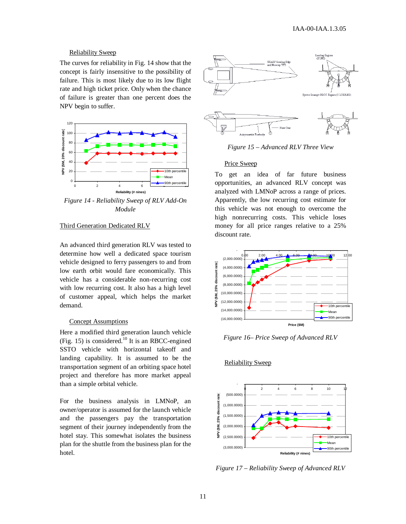## Reliability Sweep

The curves for reliability in Fig. 14 show that the concept is fairly insensitive to the possibility of failure. This is most likely due to its low flight rate and high ticket price. Only when the chance of failure is greater than one percent does the NPV begin to suffer.



*Figure 14 - Reliability Sweep of RLV Add-On Module*

# Third Generation Dedicated RLV

An advanced third generation RLV was tested to determine how well a dedicated space tourism vehicle designed to ferry passengers to and from low earth orbit would fare economically. This vehicle has a considerable non-recurring cost with low recurring cost. It also has a high level of customer appeal, which helps the market demand.

## Concept Assumptions

Here a modified third generation launch vehicle (Fig. 15) is considered.<sup>10</sup> It is an RBCC-engined SSTO vehicle with horizontal takeoff and landing capability. It is assumed to be the transportation segment of an orbiting space hotel project and therefore has more market appeal than a simple orbital vehicle.

For the business analysis in LMNoP, an owner/operator is assumed for the launch vehicle and the passengers pay the transportation segment of their journey independently from the hotel stay. This somewhat isolates the business plan for the shuttle from the business plan for the hotel.



*Figure 15 – Advanced RLV Three View*

#### Price Sweep

To get an idea of far future business opportunities, an advanced RLV concept was analyzed with LMNoP across a range of prices. Apparently, the low recurring cost estimate for this vehicle was not enough to overcome the high nonrecurring costs. This vehicle loses money for all price ranges relative to a 25% discount rate.



*Figure 16– Price Sweep of Advanced RLV*



#### Reliability Sweep

*Figure 17 – Reliability Sweep of Advanced RLV*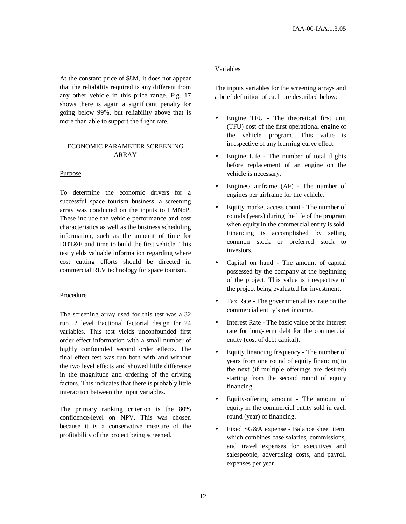At the constant price of \$8M, it does not appear that the reliability required is any different from any other vehicle in this price range. Fig. 17 shows there is again a significant penalty for going below 99%, but reliability above that is more than able to support the flight rate.

# ECONOMIC PARAMETER SCREENING ARRAY

## Purpose

To determine the economic drivers for a successful space tourism business, a screening array was conducted on the inputs to LMNoP. These include the vehicle performance and cost characteristics as well as the business scheduling information, such as the amount of time for DDT&E and time to build the first vehicle. This test yields valuable information regarding where cost cutting efforts should be directed in commercial RLV technology for space tourism.

## Procedure

The screening array used for this test was a 32 run, 2 level fractional factorial design for 24 variables. This test yields unconfounded first order effect information with a small number of highly confounded second order effects. The final effect test was run both with and without the two level effects and showed little difference in the magnitude and ordering of the driving factors. This indicates that there is probably little interaction between the input variables.

The primary ranking criterion is the 80% confidence-level on NPV. This was chosen because it is a conservative measure of the profitability of the project being screened.

# Variables

The inputs variables for the screening arrays and a brief definition of each are described below:

- Engine TFU The theoretical first unit (TFU) cost of the first operational engine of the vehicle program. This value is irrespective of any learning curve effect.
- Engine Life The number of total flights before replacement of an engine on the vehicle is necessary.
- Engines/ airframe (AF) The number of engines per airframe for the vehicle.
- Equity market access count The number of rounds (years) during the life of the program when equity in the commercial entity is sold. Financing is accomplished by selling common stock or preferred stock to investors.
- Capital on hand The amount of capital possessed by the company at the beginning of the project. This value is irrespective of the project being evaluated for investment.
- Tax Rate The governmental tax rate on the commercial entity's net income.
- Interest Rate The basic value of the interest rate for long-term debt for the commercial entity (cost of debt capital).
- Equity financing frequency The number of years from one round of equity financing to the next (if multiple offerings are desired) starting from the second round of equity financing.
- Equity-offering amount The amount of equity in the commercial entity sold in each round (year) of financing.
- Fixed SG&A expense Balance sheet item, which combines base salaries, commissions, and travel expenses for executives and salespeople, advertising costs, and payroll expenses per year.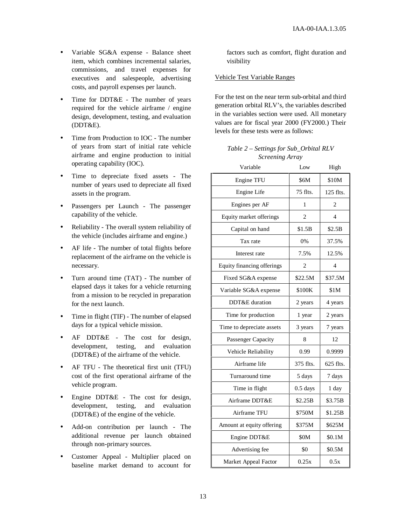- Variable SG&A expense Balance sheet item, which combines incremental salaries, commissions, and travel expenses for executives and salespeople, advertising costs, and payroll expenses per launch.
- Time for DDT&E The number of years required for the vehicle airframe / engine design, development, testing, and evaluation (DDT&E).
- Time from Production to IOC The number of years from start of initial rate vehicle airframe and engine production to initial operating capability (IOC).
- Time to depreciate fixed assets The number of years used to depreciate all fixed assets in the program.
- Passengers per Launch The passenger capability of the vehicle.
- Reliability The overall system reliability of the vehicle (includes airframe and engine.)
- AF life The number of total flights before replacement of the airframe on the vehicle is necessary.
- Turn around time (TAT) The number of elapsed days it takes for a vehicle returning from a mission to be recycled in preparation for the next launch.
- Time in flight (TIF) The number of elapsed days for a typical vehicle mission.
- AF DDT&E The cost for design, development, testing, and evaluation (DDT&E) of the airframe of the vehicle.
- AF TFU The theoretical first unit (TFU) cost of the first operational airframe of the vehicle program.
- Engine DDT&E The cost for design, development, testing, and evaluation (DDT&E) of the engine of the vehicle.
- Add-on contribution per launch The additional revenue per launch obtained through non-primary sources.
- Customer Appeal Multiplier placed on baseline market demand to account for

factors such as comfort, flight duration and visibility

# Vehicle Test Variable Ranges

For the test on the near term sub-orbital and third generation orbital RLV's, the variables described in the variables section were used. All monetary values are for fiscal year 2000 (FY2000.) Their levels for these tests were as follows:

*Table 2 – Settings for Sub\_Orbital RLV Screening Array*

| Variable                   | Low         | High           |
|----------------------------|-------------|----------------|
| Engine TFU                 | <b>\$6M</b> | \$10M          |
| Engine Life                | 75 flts.    | 125 flts.      |
| Engines per AF             | 1           | 2              |
| Equity market offerings    | 2           | 4              |
| Capital on hand            | \$1.5B      | \$2.5B         |
| Tax rate                   | 0%          | 37.5%          |
| Interest rate              | 7.5%        | 12.5%          |
| Equity financing offerings | 2           | $\overline{4}$ |
| Fixed SG&A expense         | \$22.5M     | \$37.5M        |
| Variable SG&A expense      | \$100K      | \$1M           |
| DDT&E duration             | 2 years     | 4 years        |
| Time for production        | 1 year      | 2 years        |
| Time to depreciate assets  | 3 years     | 7 years        |
| Passenger Capacity         | 8           | 12             |
| Vehicle Reliability        | 0.99        | 0.9999         |
| Airframe life              | 375 flts.   | 625 flts.      |
| Turnaround time            | 5 days      | 7 days         |
| Time in flight             | $0.5$ days  | 1 day          |
| Airframe DDT&E             | \$2.25B     | \$3.75B        |
| Airframe TFU               | \$750M      | \$1.25B        |
| Amount at equity offering  | \$375M      | \$625M         |
| Engine DDT&E               | \$0M        | \$0.1M         |
| Advertising fee            | \$0         | \$0.5M         |
| Market Appeal Factor       | 0.25x       | 0.5x           |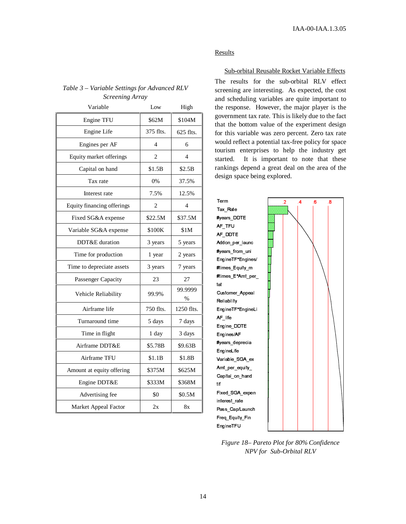# *Table 3 – Variable Settings for Advanced RLV Screening Array*

| Variable                   | Low            | High                     |
|----------------------------|----------------|--------------------------|
| Engine TFU                 | \$62M          | \$104M                   |
| Engine Life                | 375 flts.      | $625$ flts.              |
| Engines per AF             | 4              | 6                        |
| Equity market offerings    | $\overline{c}$ | 4                        |
| Capital on hand            | \$1.5B         | \$2.5B                   |
| Tax rate                   | 0%             | 37.5%                    |
| Interest rate              | 7.5%           | 12.5%                    |
| Equity financing offerings | 2              | $\overline{\mathcal{L}}$ |
| Fixed SG&A expense         | \$22.5M        | \$37.5M                  |
| Variable SG&A expense      | \$100K         | \$1M                     |
| DDT&E duration             | 3 years        | 5 years                  |
| Time for production        | 1 year         | 2 years                  |
| Time to depreciate assets  | 3 years        | 7 years                  |
| Passenger Capacity         | 23             | 27                       |
| Vehicle Reliability        | 99.9%          | 99.9999<br>%             |
| Airframe life              | 750 flts.      | 1250 flts.               |
| Turnaround time            | 5 days         | 7 days                   |
| Time in flight             | 1 day          | 3 days                   |
| Airframe DDT&E             | \$5.78B        | \$9.63B                  |
| Airframe TFU               | \$1.1B         | \$1.8B                   |
| Amount at equity offering  | \$375M         | \$625M                   |
| Engine DDT&E               | \$333M         | \$368M                   |
| Advertising fee            | \$0            | \$0.5M                   |
| Market Appeal Factor       | 2x             | 8x                       |

# Results

# Sub-orbital Reusable Rocket Variable Effects

The results for the sub-orbital RLV effect screening are interesting. As expected, the cost and scheduling variables are quite important to the response. However, the major player is the government tax rate. This is likely due to the fact that the bottom value of the experiment design for this variable was zero percent. Zero tax rate would reflect a potential tax-free policy for space tourism enterprises to help the industry get started. It is important to note that these rankings depend a great deal on the area of the design space being explored.



*Figure 18– Pareto Plot for 80% Confidence NPV for Sub-Orbital RLV*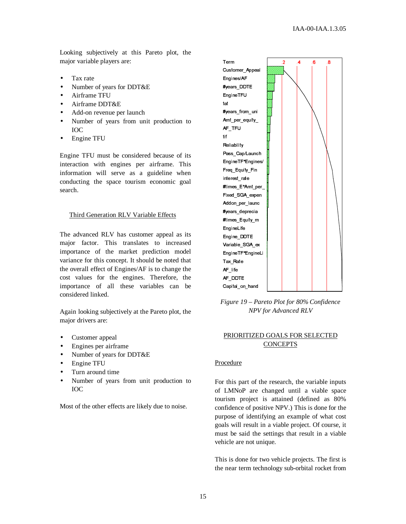Looking subjectively at this Pareto plot, the major variable players are:

- Tax rate
- Number of years for DDT&E
- Airframe TFU
- Airframe DDT&E
- Add-on revenue per launch
- Number of years from unit production to IOC
- Engine TFU

Engine TFU must be considered because of its interaction with engines per airframe. This information will serve as a guideline when conducting the space tourism economic goal search.

# Third Generation RLV Variable Effects

The advanced RLV has customer appeal as its major factor. This translates to increased importance of the market prediction model variance for this concept. It should be noted that the overall effect of Engines/AF is to change the cost values for the engines. Therefore, the importance of all these variables can be considered linked.

Again looking subjectively at the Pareto plot, the major drivers are:

- Customer appeal
- Engines per airframe
- Number of years for DDT&E
- Engine TFU
- Turn around time
- Number of years from unit production to IOC

Most of the other effects are likely due to noise.



*Figure 19 – Pareto Plot for 80% Confidence NPV for Advanced RLV*

# PRIORITIZED GOALS FOR SELECTED **CONCEPTS**

#### Procedure

For this part of the research, the variable inputs of LMNoP are changed until a viable space tourism project is attained (defined as 80% confidence of positive NPV.) This is done for the purpose of identifying an example of what cost goals will result in a viable project. Of course, it must be said the settings that result in a viable vehicle are not unique.

This is done for two vehicle projects. The first is the near term technology sub-orbital rocket from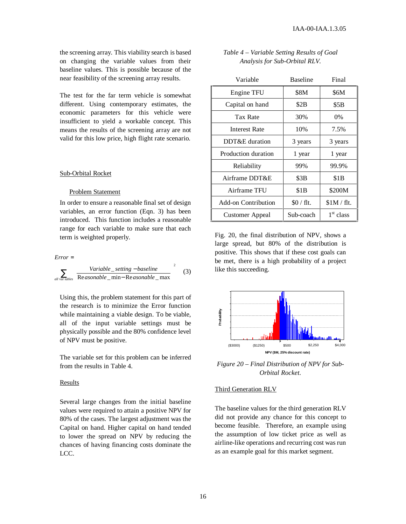the screening array. This viability search is based on changing the variable values from their baseline values. This is possible because of the near feasibility of the screening array results.

The test for the far term vehicle is somewhat different. Using contemporary estimates, the economic parameters for this vehicle were insufficient to yield a workable concept. This means the results of the screening array are not valid for this low price, high flight rate scenario.

#### Sub-Orbital Rocket

#### Problem Statement

In order to ensure a reasonable final set of design variables, an error function (Eqn. 3) has been introduced. This function includes a reasonable range for each variable to make sure that each term is weighted properly.

$$
Error = \sum_{all \text{ var } tables} \left( \frac{Variable\_setting - baseline}{Reasonable\_min - Reasonable\_max} \right)^2 \quad (3)
$$

Using this, the problem statement for this part of the research is to minimize the Error function while maintaining a viable design. To be viable, all of the input variable settings must be physically possible and the 80% confidence level of NPV must be positive.

The variable set for this problem can be inferred from the results in Table 4.

#### Results

Several large changes from the initial baseline values were required to attain a positive NPV for 80% of the cases. The largest adjustment was the Capital on hand. Higher capital on hand tended to lower the spread on NPV by reducing the chances of having financing costs dominate the LCC.

| Table 4 – Variable Setting Results of Goal |  |
|--------------------------------------------|--|
| Analysis for Sub-Orbital RLV.              |  |

| Variable            | <b>Baseline</b> | Final                 |
|---------------------|-----------------|-----------------------|
| Engine TFU          | \$8M            | \$6M                  |
| Capital on hand     | \$2B            | \$5B                  |
| Tax Rate            | 30%             | $0\%$                 |
| Interest Rate       | 10%             | 7.5%                  |
| DDT&E duration      | 3 years         | 3 years               |
| Production duration | 1 year          | 1 year                |
| Reliability         | 99%             | 99.9%                 |
| Airframe DDT&E      | \$3B            | \$1B                  |
| Airframe TFU        | \$1B            | \$200M                |
| Add-on Contribution | $$0 /$ flt.     | $$1M / flat$ .        |
| Customer Appeal     | Sub-coach       | 1 <sup>st</sup> class |

Fig. 20, the final distribution of NPV, shows a large spread, but 80% of the distribution is positive. This shows that if these cost goals can be met, there is a high probability of a project like this succeeding.



*Figure 20 – Final Distribution of NPV for Sub-Orbital Rocket.*

# Third Generation RLV

The baseline values for the third generation RLV did not provide any chance for this concept to become feasible. Therefore, an example using the assumption of low ticket price as well as airline-like operations and recurring cost was run as an example goal for this market segment.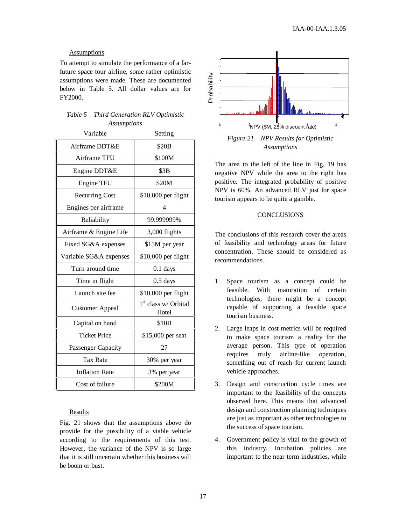# Assumptions

To attempt to simulate the performance of a farfuture space tour airline, some rather optimistic assumptions were made. These are documented below in Table 5. All dollar values are for FY2000.

# *Table 5 – Third Generation RLV Optimistic Assumptions*

| Variable               | Setting                                   |  |
|------------------------|-------------------------------------------|--|
| Airframe DDT&E         | \$20B                                     |  |
| Airframe TFU           | \$100M                                    |  |
| Engine DDT&E           | \$3B                                      |  |
| Engine TFU             | \$20M                                     |  |
| <b>Recurring Cost</b>  | \$10,000 per flight                       |  |
| Engines per airframe   | 4                                         |  |
| Reliability            | 99.999999%                                |  |
| Airframe & Engine Life | 3,000 flights                             |  |
| Fixed SG&A expenses    | \$15M per year                            |  |
| Variable SG&A expenses | \$10,000 per flight                       |  |
| Turn around time       | $0.1$ days                                |  |
| Time in flight         | $0.5$ days                                |  |
| Launch site fee        | \$10,000 per flight                       |  |
| <b>Customer Appeal</b> | 1 <sup>st</sup> class w/ Orbital<br>Hotel |  |
| Capital on hand        | \$10B                                     |  |
| <b>Ticket Price</b>    | \$15,000 per seat                         |  |
| Passenger Capacity     | 27                                        |  |
| <b>Tax Rate</b>        | 30% per year                              |  |
| <b>Inflation Rate</b>  | 3% per year                               |  |
| Cost of failure        | \$200M                                    |  |

# Results

Fig. 21 shows that the assumptions above do provide for the possibility of a viable vehicle according to the requirements of this test. However, the variance of the NPV is so large that it is still uncertain whether this business will be boom or bust.



*Assumptions*

The area to the left of the line in Fig. 19 has negative NPV while the area to the right has positive. The integrated probability of positive NPV is 60%. An advanced RLV just for space tourism appears to be quite a gamble.

# **CONCLUSIONS**

The conclusions of this research cover the areas of feasibility and technology areas for future concentration. These should be considered as recommendations.

- 1. Space tourism as a concept could be feasible. With maturation of certain technologies, there might be a concept capable of supporting a feasible space tourism business.
- 2. Large leaps in cost metrics will be required to make space tourism a reality for the average person. This type of operation requires truly airline-like operation, something out of reach for current launch vehicle approaches.
- 3. Design and construction cycle times are important to the feasibility of the concepts observed here. This means that advanced design and construction planning techniques are just as important as other technologies to the success of space tourism.
- 4. Government policy is vital to the growth of this industry. Incubation policies are important to the near term industries, while